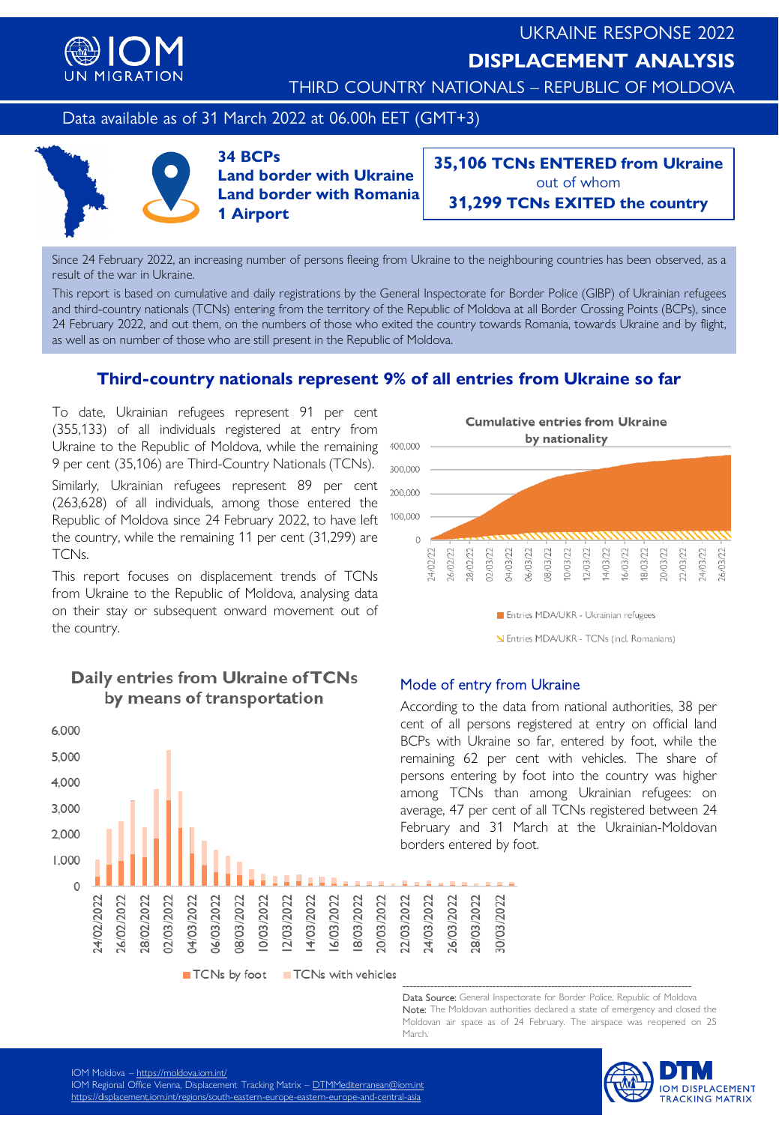

THIRD COUNTRY NATIONALS – REPUBLIC OF MOLDOVA

### Data available as of 31 March 2022 at 06.00h EET (GMT+3)



**34 BCPs Land border with Ukraine Land border with Romania 1 Airport**

**35,106 TCNs ENTERED from Ukraine** out of whom **31,299 TCNs EXITED the country**

Since 24 February 2022, an increasing number of persons fleeing from Ukraine to the neighbouring countries has been observed, as a result of the war in Ukraine.

This report is based on cumulative and daily registrations by the General Inspectorate for Border Police (GIBP) of Ukrainian refugees and third-country nationals (TCNs) entering from the territory of the Republic of Moldova at all Border Crossing Points (BCPs), since 24 February 2022, and out them, on the numbers of those who exited the country towards Romania, towards Ukraine and by flight, as well as on number of those who are still present in the Republic of Moldova.

# **Third-country nationals represent 9% of all entries from Ukraine so far**

To date, Ukrainian refugees represent 91 per cent (355,133) of all individuals registered at entry from Ukraine to the Republic of Moldova, while the remaining 9 per cent (35,106) are Third-Country Nationals (TCNs).

Similarly, Ukrainian refugees represent 89 per cent (263,628) of all individuals, among those entered the Republic of Moldova since 24 February 2022, to have left the country, while the remaining 11 per cent (31,299) are TCNs.

This report focuses on displacement trends of TCNs from Ukraine to the Republic of Moldova, analysing data on their stay or subsequent onward movement out of the country.



# Daily entries from Ukraine of TCNs by means of transportation



N Entries MDA/UKR - TCNs (incl. Romanians)

#### Mode of entry from Ukraine

According to the data from national authorities, 38 per cent of all persons registered at entry on official land BCPs with Ukraine so far, entered by foot, while the remaining 62 per cent with vehicles. The share of persons entering by foot into the country was higher among TCNs than among Ukrainian refugees: on average, 47 per cent of all TCNs registered between 24 February and 31 March at the Ukrainian-Moldovan borders entered by foot.

------------------------------------------------------------------------------------ Data Source: General Inspectorate for Border Police, Republic of Moldova Note: The Moldovan authorities declared a state of emergency and closed the Moldovan air space as of 24 February. The airspace was reopened on 25 March.



IOM Moldova – <https://moldova.iom.int/>

101 Frioliaova – <u><https://moldova.iom.int/></u><br>IOM Regional Office Vienna, Displacement Tracking Matrix – <u>[DTMMediterranean@iom.int](mailto:DTMMediterranean@iom.int)</u> IOM REGIONAL OFFICE VIENNA, DISPLACEMENT TRACKING MATRIX – DTMMEDITERRANEAN (DISPLACEMENT).<br>Internal displacement internal internal contract in each contract and contract contract and contract series of <https://displacement.iom.int/regions/south-eastern-europe-eastern-europe-and-central-asia><br>.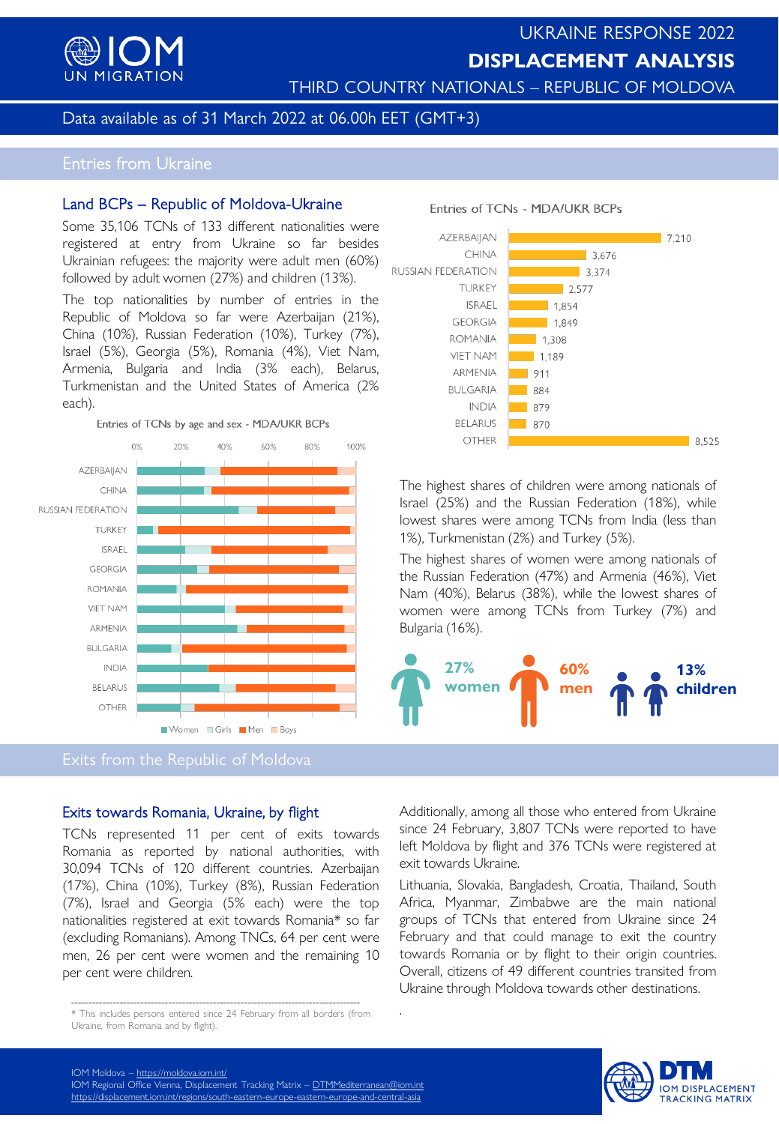

# UKRAINE RESPONSE 2022 **DISPLACEMENT ANALYSIS**

THIRD COUNTRY NATIONALS – REPUBLIC OF MOLDOVA

Entries of TCNs - MDA/UKR BCPs

## Data available as of 31 March 2022 at 06.00h EET (GMT+3)

# Entries from Ukraine

#### Land BCPs – Republic of Moldova-Ukraine

Some 35,106 TCNs of 133 different nationalities were registered at entry from Ukraine so far besides Ukrainian refugees: the majority were adult men (60%) followed by adult women (27%) and children (13%).

The top nationalities by number of entries in the Republic of Moldova so far were Azerbaijan (21%), China (10%), Russian Federation (10%), Turkey (7%), Israel (5%), Georgia (5%), Romania (4%), Viet Nam, Armenia, Bulgaria and India (3% each), Belarus, Turkmenistan and the United States of America (2% each).





Exits from the Republic of Moldova

# Exits towards Romania, Ukraine, by flight

TCNs represented 11 per cent of exits towards Romania as reported by national authorities, with 30,094 TCNs of 120 different countries. Azerbaijan (17%), China (10%), Turkey (8%), Russian Federation (7%), Israel and Georgia (5% each) were the top nationalities registered at exit towards Romania\* so far (excluding Romanians). Among TNCs, 64 per cent were men, 26 per cent were women and the remaining 10 per cent were children.



The highest shares of children were among nationals of Israel (25%) and the Russian Federation (18%), while lowest shares were among TCNs from India (less than 1%), Turkmenistan (2%) and Turkey (5%).

The highest shares of women were among nationals of the Russian Federation (47%) and Armenia (46%), Viet Nam (40%), Belarus (38%), while the lowest shares of women were among TCNs from Turkey (7%) and Bulgaria (16%).



Additionally, among all those who entered from Ukraine since 24 February, 3,807 TCNs were reported to have left Moldova by flight and 376 TCNs were registered at exit towards Ukraine.

Lithuania, Slovakia, Bangladesh, Croatia, Thailand, South Africa, Myanmar, Zimbabwe are the main national groups of TCNs that entered from Ukraine since 24 February and that could manage to exit the country towards Romania or by flight to their origin countries. Overall, citizens of 49 different countries transited from Ukraine through Moldova towards other destinations.

.



<sup>------------------------------------------------------------------------------------</sup> \* This includes persons entered since 24 February from all borders (from Ukraine, from Romania and by flight).